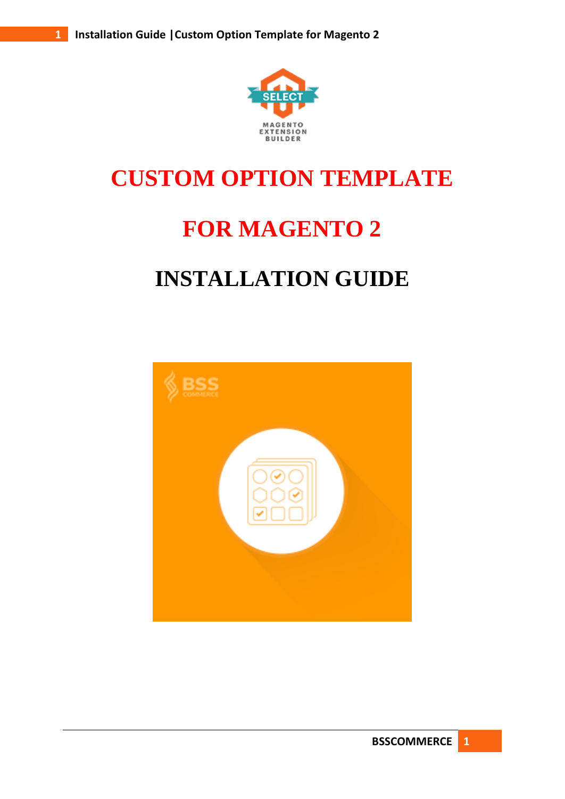

# **CUSTOM OPTION TEMPLATE**

## **FOR MAGENTO 2**

### **INSTALLATION GUIDE**

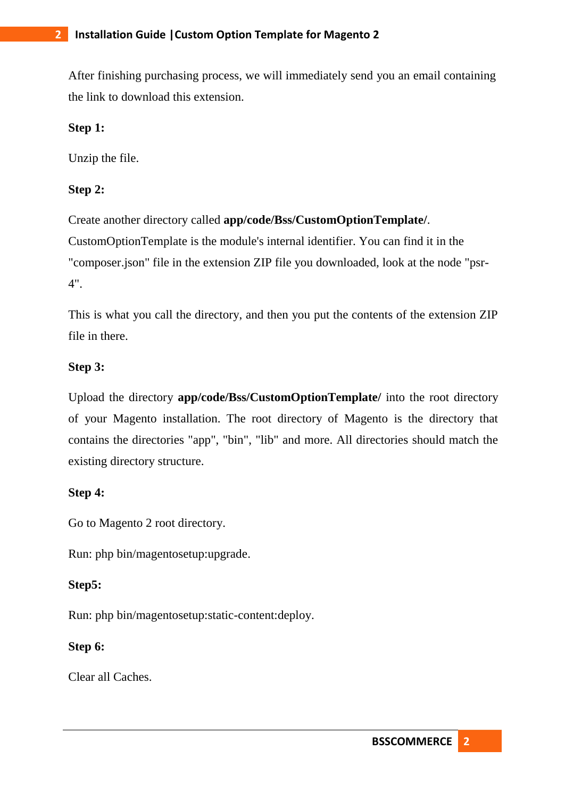After finishing purchasing process, we will immediately send you an email containing the link to download this extension.

#### **Step 1:**

Unzip the file.

#### **Step 2:**

Create another directory called **app/code/Bss/CustomOptionTemplate/**. CustomOptionTemplate is the module's internal identifier. You can find it in the "composer.json" file in the extension ZIP file you downloaded, look at the node "psr-4".

This is what you call the directory, and then you put the contents of the extension ZIP file in there.

#### **Step 3:**

Upload the directory **app/code/Bss/CustomOptionTemplate/** into the root directory of your Magento installation. The root directory of Magento is the directory that contains the directories "app", "bin", "lib" and more. All directories should match the existing directory structure.

#### **Step 4:**

Go to Magento 2 root directory.

Run: php bin/magentosetup:upgrade.

#### **Step5:**

Run: php bin/magentosetup:static-content:deploy.

#### **Step 6:**

Clear all Caches.